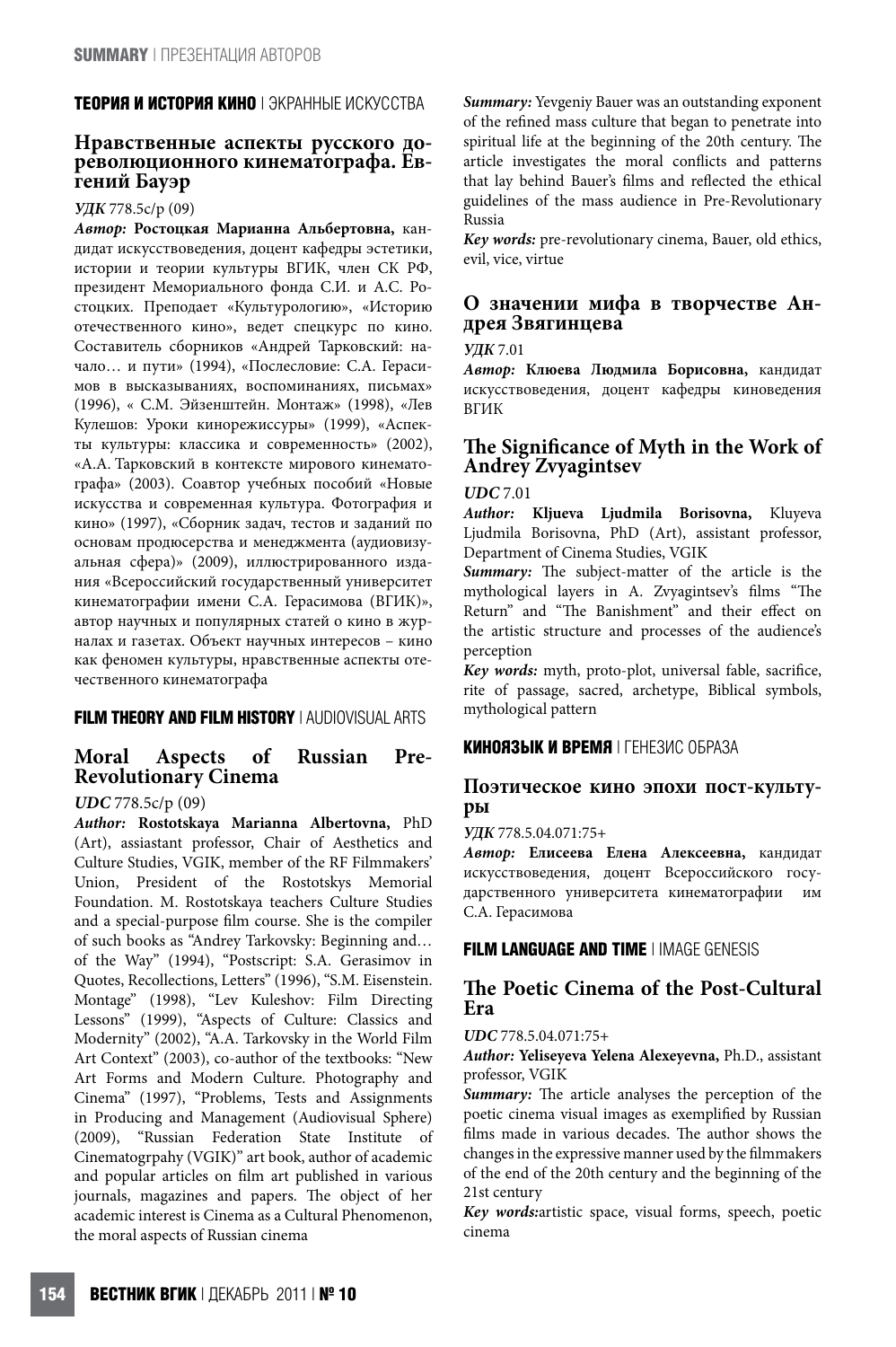#### **ТЕОРИЯ И ИСТОРИЯ КИНО** | ЭКРАННЫЕ ИСКУССТВА

# **Нравственные аспекты русского до- революционного кинематографа. Ев- гений Бауэр**

#### **УДК** 778.5с/р (09)

**Автор: Ростоцкая Марианна Альбертовна,** кандидат искусствоведения, доцент кафедры эстетики, истории и теории культуры ВГИК, член СК РФ, президент Мемориального фонда С.И. и А.С. Ростоцких. Преподает «Культурологию», «Историю отечественного кино», ведет спецкурс по кино. Составитель сборников «Андрей Тарковский: начало… и пути» (1994), «Послесловие: С.А. Герасимов в высказываниях, воспоминаниях, письмах» (1996), « С.М. Эйзенштейн. Монтаж» (1998), «Лев Кулешов: Уроки кинорежиссуры» (1999), «Аспекты культуры: классика и современность» (2002), «А.А. Тарковский в контексте мирового кинематографа» (2003). Соавтор учебных пособий «Новые искусства и современная культура. Фотография и кино» (1997), «Сборник задач, тестов и заданий по основам продюсерства и менеджмента (аудиовизуальная сфера)» (2009), иллюстрированного издания «Всероссийский государственный университет кинематографии имени С.А. Герасимова (ВГИК)», автор научных и популярных статей о кино в журналах и газетах. Объект научных интересов – кино как феномен культуры, нравственные аспекты отечественного кинематографа

#### **FILM THEORY AND FILM HISTORY** | AUDIOVISUAL ARTS

#### **Moral Aspects of Russian Pre-Revolutionary Cinema**

#### **UDC** 778.5с/р (09)

**Author: Rostotskaya Marianna Albertovna,** PhD (Art), assiastant professor, Chair of Aesthetics and Culture Studies, VGIK, member of the RF Filmmakers' Union, President of the Rostotskys Memorial Foundation. M. Rostotskaya teachers Culture Studies and a special-purpose film course. She is the compiler of such books as "Andrey Tarkovsky: Beginning and… of the Way" (1994), "Postscript: S.A. Gerasimov in Quotes, Recollections, Letters" (1996), "S.M. Eisenstein. Montage" (1998), "Lev Kuleshov: Film Directing Lessons" (1999), "Aspects of Culture: Classics and Modernity" (2002), "A.A. Tarkovsky in the World Film Art Context" (2003), co-author of the textbooks: "New Art Forms and Modern Culture. Photography and Cinema" (1997), "Problems, Tests and Assignments in Producing and Management (Audiovisual Sphere) (2009), "Russian Federation State Institute of Cinematogrpahy (VGIK)" art book, author of academic and popular articles on film art published in various journals, magazines and papers. The object of her academic interest is Cinema as a Cultural Phenomenon, the moral aspects of Russian cinema

**Summary:** Yevgeniy Bauer was an outstanding exponent of the refined mass culture that began to penetrate into spiritual life at the beginning of the 20th century. The article investigates the moral conflicts and patterns that lay behind Bauer's films and reflected the ethical guidelines of the mass audience in Pre-Revolutionary Russia

**Key words:** pre-revolutionary cinema, Bauer, old ethics, evil, vice, virtue

## **<sup>О</sup> значении мифа <sup>в</sup> творчестве Ан- дрея Звягинцева**

**УДК** 7.01

**Автор: Клюева Людмила Борисовна,** кандидат искусствоведения, доцент кафедры киноведения ВГИК

# **Fe SigniGcance of Myth in the Work of Andrey Zvyagintsev**

#### **UDC** 7.01

**Author: Kljueva Ljudmila Borisovna,** Kluyeva Ljudmila Borisovna, PhD (Art), assistant professor, Department of Cinema Studies, VGIK

Summary: The subject-matter of the article is the mythological layers in A. Zvyagintsev's films "The Return" and "The Banishment" and their effect on the artistic structure and processes of the audience's perception

Key words: myth, proto-plot, universal fable, sacrifice, rite of passage, sacred, archetype, Biblical symbols, mythological pattern

#### **КИНОЯЗЫК И ВРЕМЯ** | ГЕНЕЗИС ОБРАЗА

### **Поэтическое кино эпохи пост-культу- ры**

**УДК** 778.5.04.071:75+

**Автор: Елисеева Елена Алексеевна,** кандидат искусствоведения, доцент Всероссийского государственного университета кинематографии им С.А. Герасимова

#### **FILM LANGUAGE AND TIME** | IMAGE GENESIS

#### **The Poetic Cinema of the Post-Cultural Era**

**UDC** 778.5.04.071:75+

**Author: Yeliseyeva Yelena Alexeyevna,** Ph.D., assistant professor, VGIK

**Summary:** The article analyses the perception of the poetic cinema visual images as exemplified by Russian films made in various decades. The author shows the changes in the expressive manner used by the filmmakers of the end of the 20th century and the beginning of the 21st century

**Key words:**artistic space, visual forms, speech, poetic cinema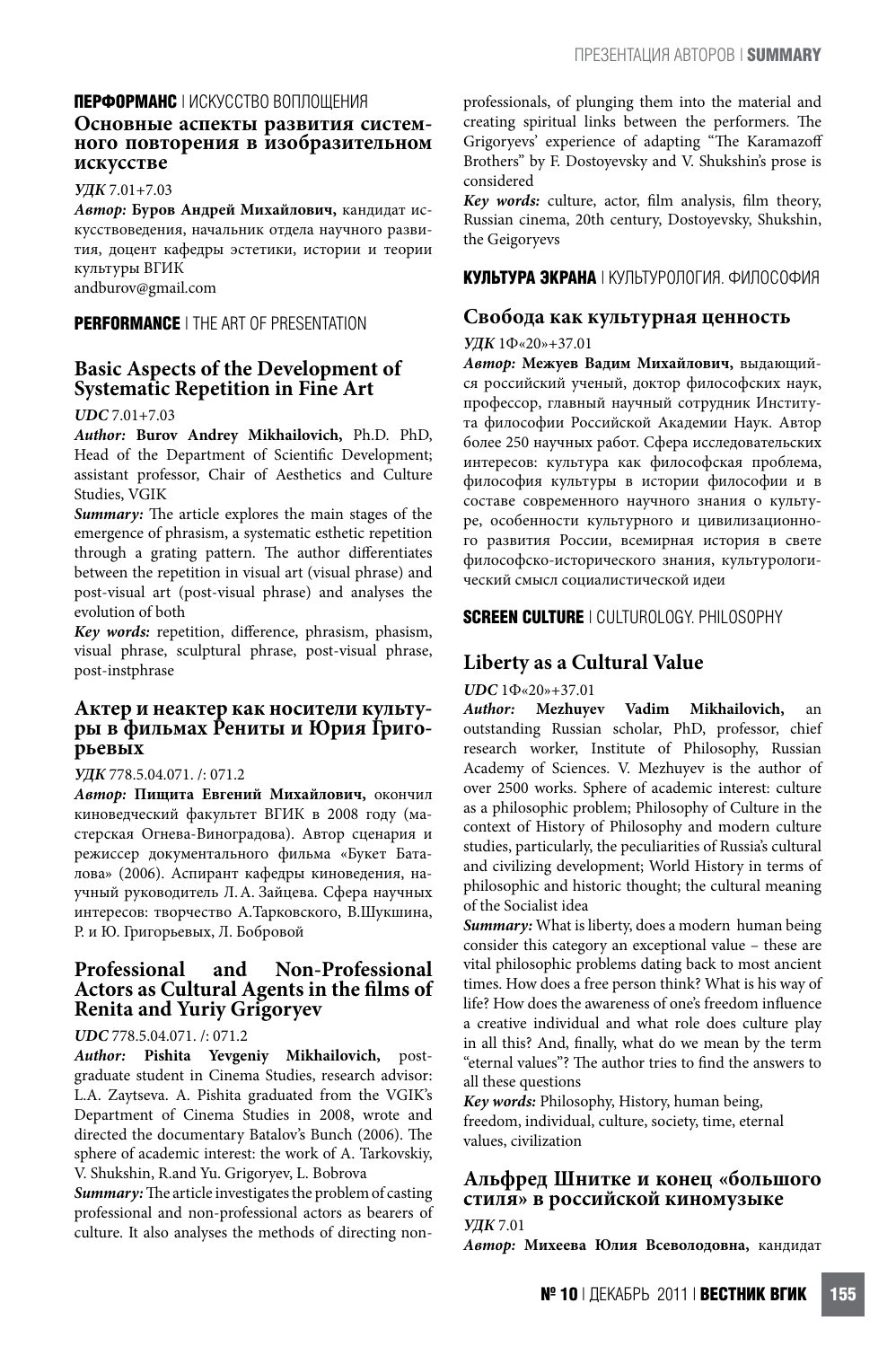#### **ПЕРФОРМАНС** | ИСКУССТВО ВОПЛОЩЕНИЯ

### **Основные аспекты развития систем- ного повторения <sup>в</sup> изобразительном искусстве**

#### **УДК** 7.01+7.03

**Автор: Буров Андрей Михайлович,** кандидат искусствоведения, начальник отдела научного развития, доцент кафедры эстетики, истории и теории культуры ВГИК andburov@gmail.com

**PERFORMANCE** | THE ART OF PRESENTATION

#### **Basic Aspects of the Development of Systematic Repetition in Fine Art**

#### **UDC** 7.01+7.03

**Author: Burov Andrey Mikhailovich,** Ph.D. PhD, Head of the Department of Scientific Development; assistant professor, Chair of Aesthetics and Culture Studies, VGIK

**Summary:** The article explores the main stages of the emergence of phrasism, a systematic esthetic repetition through a grating pattern. The author differentiates between the repetition in visual art (visual phrase) and post-visual art (post-visual phrase) and analyses the evolution of both

Key words: repetition, difference, phrasism, phasism, visual phrase, sculptural phrase, post-visual phrase, post-instphrase

# **Актер <sup>и</sup> неактер как носители культу- ры <sup>в</sup> фильмах Рениты <sup>и</sup> Юрия Григо- рьевых**

#### **УДК** 778.5.04.071. /: 071.2

**Автор: Пищита Евгений Михайлович,** окончил киноведческий факультет ВГИК в 2008 году (мастерская Огнева-Виноградова). Автор сценария и режиссер документального фильма «Букет Баталова» (2006). Аспирант кафедры киноведения, научный руководитель Л.А. Зайцева. Сфера научных интересов: творчество А.Тарковского, В.Шукшина, Р. и Ю. Григорьевых, Л. Бобровой

#### **Professional and Non-Professional Actors as Cultural Agents in the Glms of Renita and Yuriy Grigoryev**

#### **UDC** 778.5.04.071. /: 071.2

**Author: Pishita Yevgeniy Mikhailovich,** postgraduate student in Cinema Studies, research advisor: L.A. Zaytseva. A. Pishita graduated from the VGIK's Department of Cinema Studies in 2008, wrote and directed the documentary Batalov's Bunch (2006). The sphere of academic interest: the work of A. Tarkovskiy, V. Shukshin, R.and Yu. Grigoryev, L. Bobrova

Summary: The article investigates the problem of casting professional and non-professional actors as bearers of culture. It also analyses the methods of directing nonprofessionals, of plunging them into the material and creating spiritual links between the performers. The Grigoryevs' experience of adapting "The Karamazoff Brothers" by F. Dostoyevsky and V. Shukshin's prose is considered

Key words: culture, actor, film analysis, film theory, Russian cinema, 20th century, Dostoyevsky, Shukshin, the Geigoryevs

#### **КУЛЬТУРА ЭКРАНА** | КУЛЬТУРОЛОГИЯ. ФИЛОСОФИЯ

#### **Свобода как культурная ценность**

#### **УДК** 1Ф«20»+37.01

**Автор: Межуев Вадим Михайлович,** выдающийся российский ученый, доктор философских наук, профессор, главный научный сотрудник Института философии Российской Академии Наук. Автор более 250 научных работ. Сфера исследовательских интересов: культура как философская проблема, философия культуры в истории философии и в составе современного научного знания о культуре, особенности культурного и цивилизационного развития России, всемирная история в свете философско-исторического знания, культурологический смысл социалистической идеи

**SCREEN CULTURE** | CULTUROLOGY. PHILOSOPHY

#### **Liberty as a Cultural Value**

**UDC** 1Ф«20»+37.01

**Author: Mezhuyev Vadim Mikhailovich,** an outstanding Russian scholar, PhD, professor, chief research worker, Institute of Philosophy, Russian Academy of Sciences. V. Mezhuyev is the author of over 2500 works. Sphere of academic interest: culture as a philosophic problem; Philosophy of Culture in the context of History of Philosophy and modern culture studies, particularly, the peculiarities of Russia's cultural and civilizing development; World History in terms of philosophic and historic thought; the cultural meaning of the Socialist idea

**Summary:** What is liberty, does a modern human being consider this category an exceptional value – these are vital philosophic problems dating back to most ancient times. How does a free person think? What is his way of life? How does the awareness of one's freedom influence a creative individual and what role does culture play in all this? And, finally, what do we mean by the term "eternal values"? The author tries to find the answers to all these questions

**Key words:** Philosophy, History, human being, freedom, individual, culture, society, time, eternal values, civilization

#### **Альфред Шнитке и конец «большого стиля» в российской киномузыке**

**УДК** 7.01 **Автор: Михеева Юлия Всеволодовна,** кандидат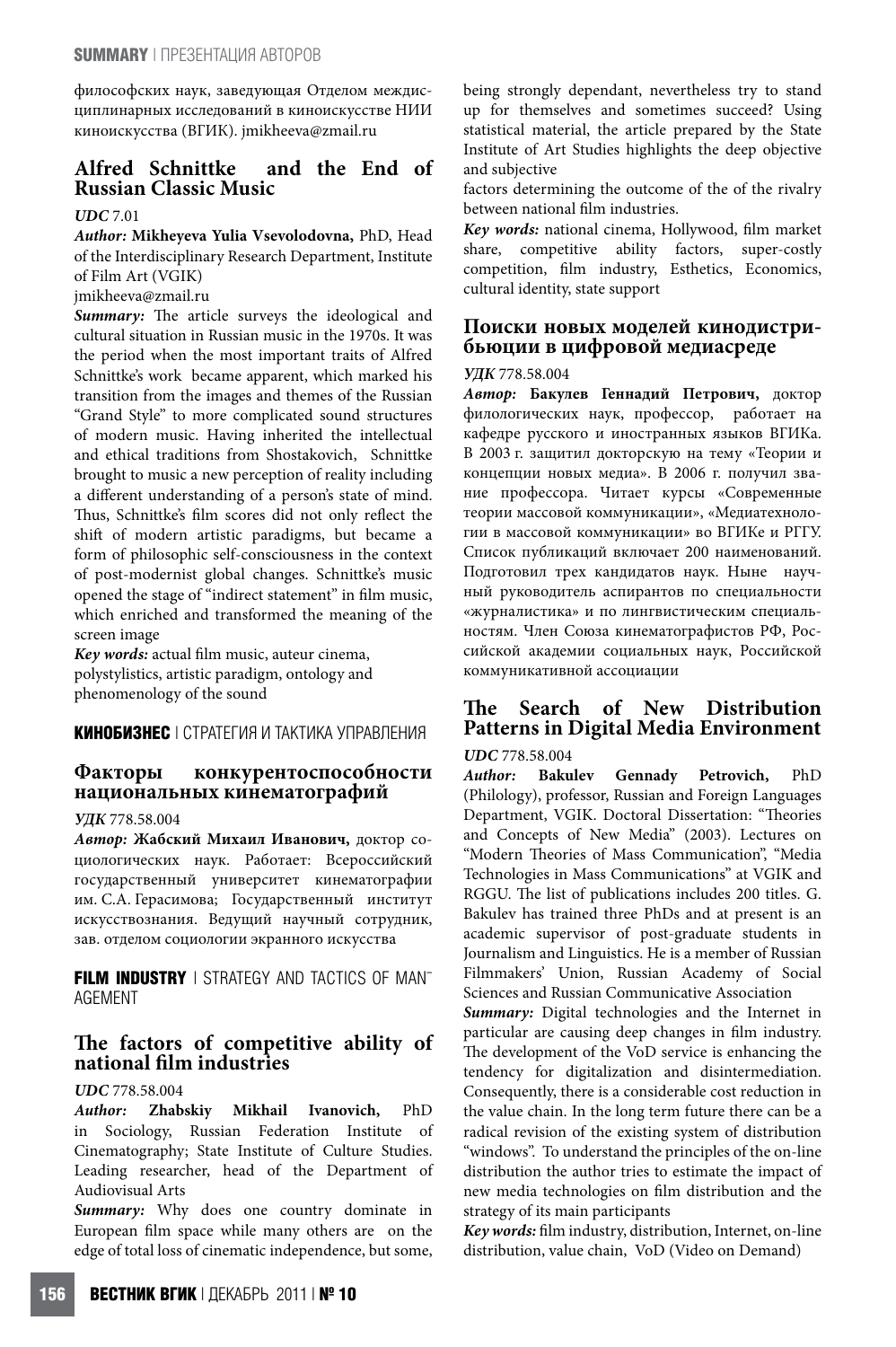философских наук, заведующая Отделом междисциплинарных исследований в киноискусстве НИИ киноискусства (ВГИК). jmikheeva@zmail.ru

#### **Alfred Schnittke and the End of Russian Classic Music**

#### **UDC** 7.01

#### **Author: Mikheyeva Yulia Vsevolodovna,** PhD, Head of the Interdisciplinary Research Department, Institute of Film Art (VGIK)

jmikheeva@zmail.ru

**Summary:** The article surveys the ideological and cultural situation in Russian music in the 1970s. It was the period when the most important traits of Alfred Schnittke's work became apparent, which marked his transition from the images and themes of the Russian "Grand Style" to more complicated sound structures of modern music. Having inherited the intellectual and ethical traditions from Shostakovich, Schnittke brought to music a new perception of reality including a different understanding of a person's state of mind. Thus, Schnittke's film scores did not only reflect the shift of modern artistic paradigms, but became a form of philosophic self-consciousness in the context of post-modernist global changes. Schnittke's music opened the stage of "indirect statement" in film music, which enriched and transformed the meaning of the screen image

Key words: actual film music, auteur cinema, polystylistics, artistic paradigm, ontology and phenomenology of the sound

**КИНОБИЗНЕС** | СТРАТЕГИЯ И ТАКТИКА УПРАВЛЕНИЯ

#### **Факторы конкурентоспособности национальных кинематографий**

#### **УДК** 778.58.004

**Автор: Жабский Михаил Иванович,** доктор социологических наук. Работает: Всероссийский государственный университет кинематографии им. С.А. Герасимова; Государственный институт искусствознания. Ведущий научный сотрудник, зав. отделом социологии экранного искусства

**FILM INDUSTRY** I STRATEGY AND TACTICS OF MANT AGEMENT

## **Fe factors of competitive ability of national Glm industries**

#### **UDC** 778.58.004

**Author: Zhabskiy Mikhail Ivanovich,** PhD in Sociology, Russian Federation Institute of Cinematography; State Institute of Culture Studies. Leading researcher, head of the Department of Audiovisual Arts

Summary: Why does one country dominate in European film space while many others are on the edge of total loss of cinematic independence, but some,

being strongly dependant, nevertheless try to stand up for themselves and sometimes succeed? Using statistical material, the article prepared by the State Institute of Art Studies highlights the deep objective and subjective

factors determining the outcome of the of the rivalry between national film industries.

Key words: national cinema, Hollywood, film market share, competitive ability factors, super-costly competition, film industry, Esthetics, Economics, cultural identity, state support

### **Поиски новых моделей кинодистри- бьюции <sup>в</sup> цифровой медиасреде**

#### **УДК** 778.58.004

**Автор: Бакулев Геннадий Петрович,** доктор филологических наук, профессор, работает на кафедре русского и иностранных языков ВГИКа. В 2003 г. защитил докторскую на тему «Теории и концепции новых медиа». В 2006 г. получил звание профессора. Читает курсы «Современные теории массовой коммуникации», «Медиатехнологии в массовой коммуникации» во ВГИКе и РГГУ. Список публикаций включает 200 наименований. Подготовил трех кандидатов наук. Ныне научный руководитель аспирантов по специальности «журналистика» и по лингвистическим специальностям. Член Союза кинематографистов РФ, Российской академии социальных наук, Российской коммуникативной ассоциации

#### **The Search of New Distribution Patterns in Digital Media Environment**

#### **UDC** 778.58.004

**Author: Bakulev Gennady Petrovich,** PhD (Philology), professor, Russian and Foreign Languages Department, VGIK. Doctoral Dissertation: "Theories and Concepts of New Media" (2003). Lectures on "Modern Theories of Mass Communication", "Media Technologies in Mass Communications" at VGIK and RGGU. The list of publications includes 200 titles. G. Bakulev has trained three PhDs and at present is an academic supervisor of post-graduate students in Journalism and Linguistics. He is a member of Russian Filmmakers' Union, Russian Academy of Social Sciences and Russian Communicative Association

**Summary:** Digital technologies and the Internet in particular are causing deep changes in film industry. The development of the VoD service is enhancing the tendency for digitalization and disintermediation. Consequently, there is a considerable cost reduction in the value chain. In the long term future there can be a radical revision of the existing system of distribution "windows". To understand the principles of the on-line distribution the author tries to estimate the impact of new media technologies on film distribution and the strategy of its main participants

Key words: film industry, distribution, Internet, on-line distribution, value chain, VoD (Video on Demand)